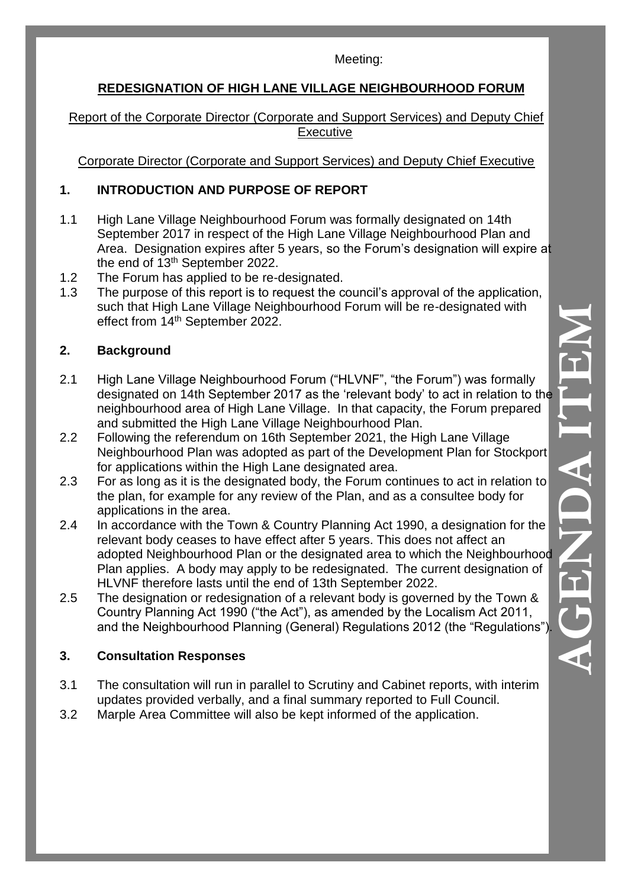#### Meeting:

## **REDESIGNATION OF HIGH LANE VILLAGE NEIGHBOURHOOD FORUM**

Report of the Corporate Director (Corporate and Support Services) and Deputy Chief Executive

Corporate Director (Corporate and Support Services) and Deputy Chief Executive

# **1. INTRODUCTION AND PURPOSE OF REPORT**

- 1.1 High Lane Village Neighbourhood Forum was formally designated on 14th September 2017 in respect of the High Lane Village Neighbourhood Plan and Area. Designation expires after 5 years, so the Forum's designation will expire at the end of 13<sup>th</sup> September 2022.
- 1.2 The Forum has applied to be re-designated.
- 1.3 The purpose of this report is to request the council's approval of the application, such that High Lane Village Neighbourhood Forum will be re-designated with effect from 14<sup>th</sup> September 2022.

# **2. Background**

- 2.1 High Lane Village Neighbourhood Forum ("HLVNF", "the Forum") was formally designated on 14th September 2017 as the 'relevant body' to act in relation to the neighbourhood area of High Lane Village. In that capacity, the Forum prepared and submitted the High Lane Village Neighbourhood Plan.
- 2.2 Following the referendum on 16th September 2021, the High Lane Village Neighbourhood Plan was adopted as part of the Development Plan for Stockport for applications within the High Lane designated area.
- 2.3 For as long as it is the designated body, the Forum continues to act in relation to the plan, for example for any review of the Plan, and as a consultee body for applications in the area.
- 2.4 In accordance with the Town & Country Planning Act 1990, a designation for the relevant body ceases to have effect after 5 years. This does not affect an adopted Neighbourhood Plan or the designated area to which the Neighbourhood Plan applies. A body may apply to be redesignated. The current designation of HLVNF therefore lasts until the end of 13th September 2022.
- 2.5 The designation or redesignation of a relevant body is governed by the Town & Country Planning Act 1990 ("the Act"), as amended by the Localism Act 2011, and the Neighbourhood Planning (General) Regulations 2012 (the "Regulations").

# **3. Consultation Responses**

- 3.1 The consultation will run in parallel to Scrutiny and Cabinet reports, with interim updates provided verbally, and a final summary reported to Full Council.
- 3.2 Marple Area Committee will also be kept informed of the application.